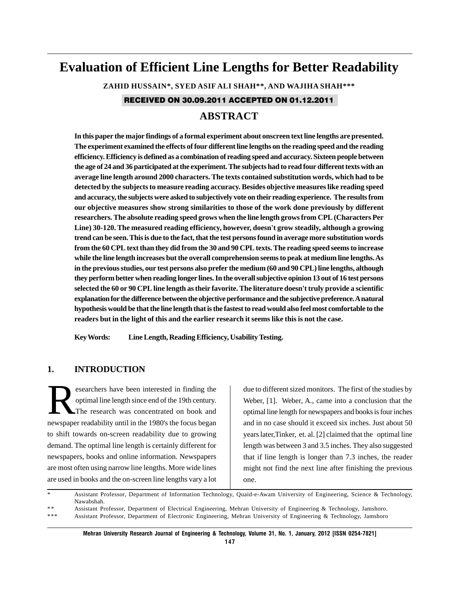# **Evaluation of Efficient Line Lengths for Better Readability**

**ZAHID HUSSAIN\*, SYED ASIF ALI SHAH\*\*, AND WAJIHA SHAH\*\*\***

RECEIVED ON 30.09.2011 ACCEPTED ON 01.12.2011

# **ABSTRACT**

**In this paper the major findings of a formal experiment about onscreen text line lengths are presented. The experiment examined the effects of four different line lengths on the reading speed and the reading efficiency. Efficiency is defined as a combination of reading speed and accuracy. Sixteen people between the age of 24 and 36 participated at the experiment. The subjects had to read four different texts with an average line length around 2000 characters. The texts contained substitution words, which had to be detected by the subjects to measure reading accuracy. Besides objective measures like reading speed and accuracy, the subjects were asked to subjectively vote on their reading experience. The results from our objective measures show strong similarities to those of the work done previously by different researchers. The absolute reading speed grows when the line length grows from CPL (Characters Per Line) 30-120. The measured reading efficiency, however, doesn't grow steadily, although a growing trend can be seen. This is due to the fact, that the test persons found in average more substitution words from the 60 CPL text than they did from the 30 and 90 CPL texts. The reading speed seems to increase while the line length increases but the overall comprehension seems to peak at medium line lengths. As in the previous studies, our test persons also prefer the medium (60 and 90 CPL) line lengths, although they perform better when reading longer lines. In the overall subjective opinion 13 out of 16 test persons selected the 60 or 90 CPL line length as their favorite. The literature doesn't truly provide a scientific explanation for the difference between the objective performance and the subjective preference. A natural hypothesis would be that the line length that is the fastest to read would also feel most comfortable to the readers but in the light of this and the earlier research it seems like this is not the case.**

**Key Words: Line Length, Reading Efficiency, Usability Testing.**

# **1. INTRODUCTION**

esearchers have been interested in finding the<br>optimal line length since end of the 19th century.<br>The research was concentrated on book and optimal line length since end of the 19th century. The research was concentrated on book and newspaper readability until in the 1980's the focus began to shift towards on-screen readability due to growing demand. The optimal line length is certainly different for newspapers, books and online information. Newspapers are most often using narrow line lengths. More wide lines are used in books and the on-screen line lengths vary a lot

due to different sized monitors. The first of the studies by Weber, [1]. Weber, A., came into a conclusion that the optimal line length for newspapers and books is four inches and in no case should it exceed six inches. Just about 50 years later,Tinker, et. al. [2] claimed that the optimal line length was between 3 and 3.5 inches. They also suggested that if line length is longer than 7.3 inches, the reader might not find the next line after finishing the previous one.

\* Assistant Professor, Department of Information Technology, Quaid-e-Awam University of Engineering, Science & Technology, Nawabshah.

<sup>\* \*</sup> Assistant Professor, Department of Electrical Engineering, Mehran University of Engineering & Technology, Jamshoro. Assistant Professor, Department of Electronic Engineering, Mehran University of Engineering & Technology, Jamshoro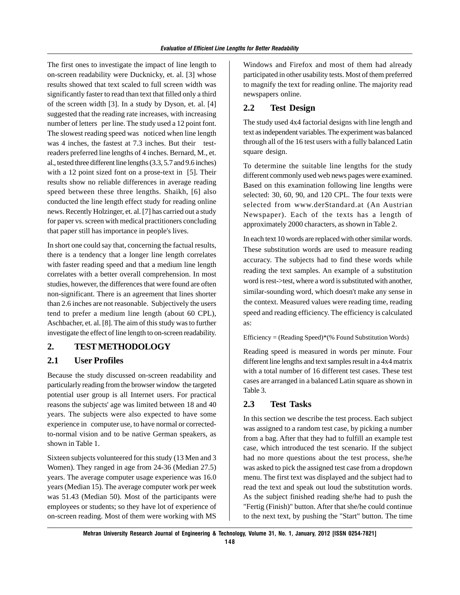The first ones to investigate the impact of line length to on-screen readability were Ducknicky, et. al. [3] whose results showed that text scaled to full screen width was significantly faster to read than text that filled only a third of the screen width [3]. In a study by Dyson, et. al. [4] suggested that the reading rate increases, with increasing number of letters per line. The study used a 12 point font. The slowest reading speed was noticed when line length was 4 inches, the fastest at 7.3 inches. But their testreaders preferred line lengths of 4 inches. Bernard, M., et. al., tested three different line lengths (3.3, 5.7 and 9.6 inches) with a 12 point sized font on a prose-text in [5]. Their results show no reliable differences in average reading speed between these three lengths. Shaikh, [6] also conducted the line length effect study for reading online news. Recently Holzinger, et. al. [7] has carried out a study for paper vs. screen with medical practitioners concluding that paper still has importance in people's lives.

In short one could say that, concerning the factual results, there is a tendency that a longer line length correlates with faster reading speed and that a medium line length correlates with a better overall comprehension. In most studies, however, the differences that were found are often non-significant. There is an agreement that lines shorter than 2.6 inches are not reasonable. Subjectively the users tend to prefer a medium line length (about 60 CPL), Aschbacher, et. al. [8]. The aim of this study was to further investigate the effect of line length to on-screen readability.

# **2. TEST METHODOLOGY**

# **2.1 User Profiles**

Because the study discussed on-screen readability and particularly reading from the browser window the targeted potential user group is all Internet users. For practical reasons the subjects' age was limited between 18 and 40 years. The subjects were also expected to have some experience in computer use, to have normal or correctedto-normal vision and to be native German speakers, as shown in Table 1.

Sixteen subjects volunteered for this study (13 Men and 3 Women). They ranged in age from 24-36 (Median 27.5) years. The average computer usage experience was 16.0 years (Median 15). The average computer work per week was 51.43 (Median 50). Most of the participants were employees or students; so they have lot of experience of on-screen reading. Most of them were working with MS Windows and Firefox and most of them had already participated in other usability tests. Most of them preferred to magnify the text for reading online. The majority read newspapers online.

# **2.2 Test Design**

The study used 4x4 factorial designs with line length and text as independent variables. The experiment was balanced through all of the 16 test users with a fully balanced Latin square design.

To determine the suitable line lengths for the study different commonly used web news pages were examined. Based on this examination following line lengths were selected: 30, 60, 90, and 120 CPL. The four texts were selected from www.derStandard.at (An Austrian Newspaper). Each of the texts has a length of approximately 2000 characters, as shown in Table 2.

In each text 10 words are replaced with other similar words. These substitution words are used to measure reading accuracy. The subjects had to find these words while reading the text samples. An example of a substitution word is rest->test, where a word is substituted with another, similar-sounding word, which doesn't make any sense in the context. Measured values were reading time, reading speed and reading efficiency. The efficiency is calculated as:

Efficiency = (Reading Speed)\*(% Found Substitution Words)

Reading speed is measured in words per minute. Four different line lengths and text samples result in a 4x4 matrix with a total number of 16 different test cases. These test cases are arranged in a balanced Latin square as shown in Table 3.

# **2.3 Test Tasks**

In this section we describe the test process. Each subject was assigned to a random test case, by picking a number from a bag. After that they had to fulfill an example test case, which introduced the test scenario. If the subject had no more questions about the test process, she/he was asked to pick the assigned test case from a dropdown menu. The first text was displayed and the subject had to read the text and speak out loud the substitution words. As the subject finished reading she/he had to push the "Fertig (Finish)" button. After that she/he could continue to the next text, by pushing the "Start" button. The time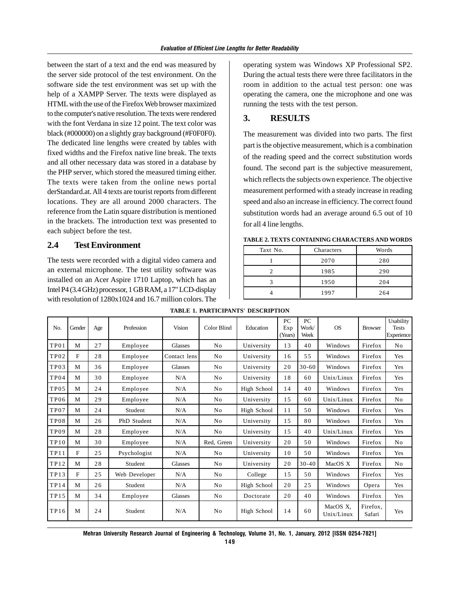between the start of a text and the end was measured by the server side protocol of the test environment. On the software side the test environment was set up with the help of a XAMPP Server. The texts were displayed as HTML with the use of the Firefox Web browser maximized to the computer's native resolution. The texts were rendered with the font Verdana in size 12 point. The text color was black (#000000) on a slightly gray background (#F0F0F0). The dedicated line lengths were created by tables with fixed widths and the Firefox native line break. The texts and all other necessary data was stored in a database by the PHP server, which stored the measured timing either. The texts were taken from the online news portal derStandard.at. All 4 texts are tourist reports from different locations. They are all around 2000 characters. The reference from the Latin square distribution is mentioned in the brackets. The introduction text was presented to each subject before the test.

### **2.4 Test Environment**

The tests were recorded with a digital video camera and an external microphone. The test utility software was installed on an Acer Aspire 1710 Laptop, which has an Intel P4 (3.4 GHz) processor, 1 GB RAM, a 17" LCD-display with resolution of 1280x1024 and 16.7 million colors. The

operating system was Windows XP Professional SP2. During the actual tests there were three facilitators in the room in addition to the actual test person: one was operating the camera, one the microphone and one was running the tests with the test person.

# **3. RESULTS**

The measurement was divided into two parts. The first part is the objective measurement, which is a combination of the reading speed and the correct substitution words found. The second part is the subjective measurement, which reflects the subjects own experience. The objective measurement performed with a steady increase in reading speed and also an increase in efficiency. The correct found substitution words had an average around 6.5 out of 10 for all 4 line lengths.

| Taxt No. | Characters | Words |  |
|----------|------------|-------|--|
|          | 2070       | 280   |  |
|          | 1985       | 290   |  |
|          | 1950       | 204   |  |
|          | 1997       | 264   |  |

| N <sub>0</sub>   | Gender | Age | Profession    | Vision         | Color Blind    | Education   | PC<br>Exp<br>(Years) | PC.<br>Work/<br>Week | <b>OS</b>              | <b>Browser</b>     | Usability<br><b>Tests</b><br>Experience |
|------------------|--------|-----|---------------|----------------|----------------|-------------|----------------------|----------------------|------------------------|--------------------|-----------------------------------------|
| TP <sub>01</sub> | М      | 27  | Employee      | Glasses        | N <sub>0</sub> | University  | 13                   | 40                   | Windows                | Firefox            | No                                      |
| TP <sub>02</sub> | F      | 28  | Employee      | Contact lens   | N <sub>0</sub> | University  | 16                   | 55                   | Windows                | Firefox            | Yes                                     |
| TP <sub>03</sub> | M      | 36  | Employee      | <b>Glasses</b> | N <sub>0</sub> | University  | 20                   | $30 - 60$            | Windows                | Firefox            | Yes                                     |
| TP04             | M      | 30  | Employee      | N/A            | N <sub>0</sub> | University  | 18                   | 60                   | Unix/Linux             | Firefox            | Yes                                     |
| TP <sub>05</sub> | M      | 24  | Employee      | N/A            | N <sub>0</sub> | High School | 14                   | 40                   | Windows                | Firefox            | Yes                                     |
| TP <sub>06</sub> | M      | 29  | Employee      | N/A            | N <sub>0</sub> | University  | 15                   | 60                   | Unix/Linux             | Firefox            | N <sub>o</sub>                          |
| TP07             | M      | 24  | Student       | N/A            | N <sub>0</sub> | High School | 11                   | 50                   | Windows                | Firefox            | Yes                                     |
| TP08             | M      | 26  | PhD Student   | N/A            | N <sub>0</sub> | University  | 15                   | 80                   | Windows                | Firefox            | Yes                                     |
| TP09             | M      | 28  | Employee      | N/A            | N <sub>0</sub> | University  | 15                   | 40                   | Unix/Linux             | Firefox            | Yes                                     |
| <b>TP10</b>      | M      | 30  | Employee      | N/A            | Red, Green     | University  | 20                   | 50                   | Windows                | Firefox            | No                                      |
| TP11             | F      | 25  | Psychologist  | N/A            | N <sub>0</sub> | University  | 10                   | 50                   | Windows                | Firefox            | Yes                                     |
| TP12             | M      | 28  | Student       | Glasses        | N <sub>0</sub> | University  | 20                   | $30 - 40$            | MacOS X                | Firefox            | No                                      |
| TP13             | F      | 2.5 | Web Developer | N/A            | N <sub>0</sub> | College     | 15                   | 50                   | Windows                | Firefox            | Yes                                     |
| <b>TP14</b>      | M      | 26  | Student       | N/A            | N <sub>0</sub> | High School | 20                   | 25                   | Windows                | Opera              | Yes                                     |
| <b>TP15</b>      | M      | 34  | Employee      | Glasses        | N <sub>0</sub> | Doctorate   | 20                   | 40                   | Windows                | Firefox            | Yes                                     |
| <b>TP16</b>      | M      | 24  | Student       | N/A            | N <sub>0</sub> | High School | 14                   | 60                   | MacOS X,<br>Unix/Linux | Firefox.<br>Safari | Yes                                     |

**TABLE 1. PARTICIPANTS' DESCRIPTION**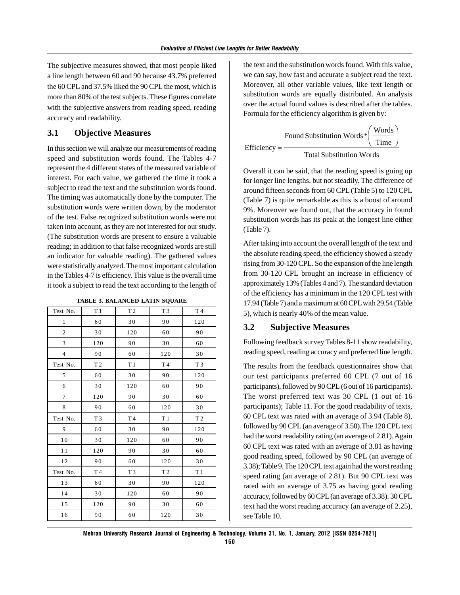The subjective measures showed, that most people liked a line length between 60 and 90 because 43.7% preferred the 60 CPL and 37.5% liked the 90 CPL the most, which is more than 80% of the test subjects. These figures correlate with the subjective answers from reading speed, reading accuracy and readability.

### **3.1 Objective Measures**

In this section we will analyze our measurements of reading speed and substitution words found. The Tables 4-7 represent the 4 different states of the measured variable of interest. For each value, we gathered the time it took a subject to read the text and the substitution words found. The timing was automatically done by the computer. The substitution words were written down, by the moderator of the test. False recognized substitution words were not taken into account, as they are not interested for our study. (The substitution words are present to ensure a valuable reading; in addition to that false recognized words are still an indicator for valuable reading). The gathered values were statistically analyzed. The most important calculation in the Tables 4-7 is efficiency. This value is the overall time it took a subject to read the text according to the length of

| <b>TABLE 3. BALANCED LATIN SQUARE</b> |  |
|---------------------------------------|--|
|                                       |  |

| Test No.       | T1             | T <sub>2</sub> | T <sub>3</sub> | T4             |
|----------------|----------------|----------------|----------------|----------------|
| 1              | 60             | 30             | 90             | 120            |
| $\mathfrak{2}$ | 30             | 120            | 60             | 90             |
| 3              | 120            | 90             | 30             | 60             |
| $\overline{4}$ | 90             | 60             | 120            | 30             |
| Test No.       | T <sub>2</sub> | T1             | T4             | T <sub>3</sub> |
| 5              | 60             | 30             | 90             | 120            |
| 6              | 30             | 120            | 60             | 90             |
| 7              | 120            | 90             | 30             | 60             |
| 8              | 90             | 60             | 120            | 30             |
| Test No.       | T <sub>3</sub> | T <sub>4</sub> | T1             | T <sub>2</sub> |
| 9              | 60             | 30             | 90             | 120            |
| $10$           | 30             | 120            | 60             | 90             |
| 11             | 120            | 90             | 30             | 60             |
| 12             | 90             | 60             | 120            | $3\,0$         |
| Test No.       | T4             | T <sub>3</sub> | T <sub>2</sub> | T1             |
| 13             | 60             | 30             | 90             | 120            |
| 14             | 30             | 120            | 60             | 90             |
| 15             | 120            | 90             | 30             | 60             |
| 16             | 90             | 60             | 120            | 30             |

the text and the substitution words found. With this value, we can say, how fast and accurate a subject read the text. Moreover, all other variable values, like text length or substitution words are equally distributed. An analysis over the actual found values is described after the tables. Formula for the efficiency algorithm is given by:

$$
Efficiency = \frac{Found\,Substitution\ Words * \left(\frac{Words}{Time}\right)}{Total\ Substitution\ Words}
$$

Overall it can be said, that the reading speed is going up for longer line lengths, but not steadily. The difference of around fifteen seconds from 60 CPL (Table 5) to 120 CPL (Table 7) is quite remarkable as this is a boost of around 9%. Moreover we found out, that the accuracy in found substitution words has its peak at the longest line either (Table 7).

After taking into account the overall length of the text and the absolute reading speed, the efficiency showed a steady rising from 30-120 CPL. So the expansion of the line length from 30-120 CPL brought an increase in efficiency of approximately 13% (Tables 4 and 7). The standard deviation of the efficiency has a minimum in the 120 CPL test with 17.94 (Table 7) and a maximum at 60 CPL with 29.54 (Table 5), which is nearly 40% of the mean value.

### **3.2 Subjective Measures**

Following feedback survey Tables 8-11 show readability, reading speed, reading accuracy and preferred line length.

The results from the feedback questionnaires show that our test participants preferred 60 CPL (7 out of 16 participants), followed by 90 CPL (6 out of 16 participants). The worst preferred text was 30 CPL (1 out of 16 participants); Table 11. For the good readability of texts, 60 CPL text was rated with an average of 3.94 (Table 8), followed by 90 CPL (an average of 3.50).The 120 CPL text had the worst readability rating (an average of 2.81). Again 60 CPL text was rated with an average of 3.81 as having good reading speed, followed by 90 CPL (an average of 3.38); Table 9. The 120 CPL text again had the worst reading speed rating (an average of 2.81). But 90 CPL text was rated with an average of 3.75 as having good reading accuracy, followed by 60 CPL (an average of 3.38). 30 CPL text had the worst reading accuracy (an average of 2.25), see Table 10.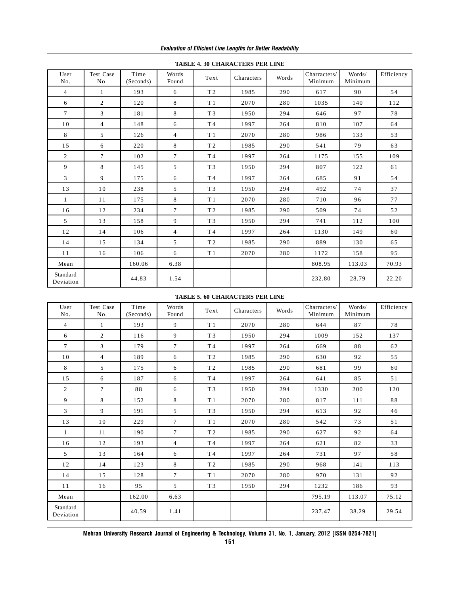|                       | пирые труд снимаетелю телевиче |                   |                 |                |            |       |                         |                   |            |  |
|-----------------------|--------------------------------|-------------------|-----------------|----------------|------------|-------|-------------------------|-------------------|------------|--|
| User<br>No.           | Test Case<br>No.               | Time<br>(Seconds) | Words<br>Found  | Text           | Characters | Words | Charracters/<br>Minimum | Words/<br>Minimum | Efficiency |  |
| $\overline{4}$        | $\mathbf{1}$                   | 193               | 6               | T <sub>2</sub> | 1985       | 290   | 617                     | 90                | 54         |  |
| 6                     | 2                              | 120               | 8               | T <sub>1</sub> | 2070       | 280   | 1035                    | 140               | 112        |  |
| $7\overline{ }$       | $\mathfrak{Z}$                 | 181               | 8               | T <sub>3</sub> | 1950       | 294   | 646                     | 97                | 78         |  |
| 10                    | $\overline{4}$                 | 148               | 6               | T4             | 1997       | 264   | 810                     | 107               | 64         |  |
| 8                     | 5                              | 126               | $\overline{4}$  | T <sub>1</sub> | 2070       | 280   | 986                     | 133               | 53         |  |
| 15                    | 6                              | 220               | 8               | T <sub>2</sub> | 1985       | 290   | 541                     | 79                | 63         |  |
| $\overline{2}$        | $\tau$                         | 102               | $\tau$          | T4             | 1997       | 264   | 1175                    | 155               | 109        |  |
| 9                     | 8                              | 145               | $5^{\circ}$     | T <sub>3</sub> | 1950       | 294   | 807                     | 122               | 61         |  |
| $\mathfrak{Z}$        | 9                              | 175               | 6               | T4             | 1997       | 264   | 685                     | 91                | 54         |  |
| 13                    | 10                             | 238               | 5               | T <sub>3</sub> | 1950       | 294   | 492                     | 74                | 37         |  |
| $\mathbf{1}$          | 11                             | 175               | 8               | T1             | 2070       | 280   | 710                     | 96                | 77         |  |
| 16                    | 12                             | 234               | $7\overline{ }$ | T <sub>2</sub> | 1985       | 290   | 509                     | 74                | 52         |  |
| 5 <sup>5</sup>        | 13                             | 158               | 9               | T <sub>3</sub> | 1950       | 294   | 741                     | 112               | 100        |  |
| 12                    | 14                             | 106               | $\overline{4}$  | T4             | 1997       | 264   | 1130                    | 149               | 60         |  |
| 14                    | 15                             | 134               | 5               | T <sub>2</sub> | 1985       | 290   | 889                     | 130               | 65         |  |
| 11                    | 16                             | 106               | 6               | T <sub>1</sub> | 2070       | 280   | 1172                    | 158               | 95         |  |
| Mean                  |                                | 160.06            | 6.38            |                |            |       | 808.95                  | 113.03            | 70.93      |  |
| Standard<br>Deviation |                                | 44.83             | 1.54            |                |            |       | 232.80                  | 28.79             | 22.20      |  |

**TABLE 4. 30 CHARACTERS PER LINE**

### **TABLE 5. 60 CHARACTERS PER LINE**

| User<br>No.           | Test Case<br>No. | Time<br>(Seconds) | Words<br>Found | Text           | Characters | Words | Charracters/<br>Minimum | Words/<br>Minimum | Efficiency |
|-----------------------|------------------|-------------------|----------------|----------------|------------|-------|-------------------------|-------------------|------------|
| $\overline{4}$        | $\mathbf{1}$     | 193               | 9              | T1             | 2070       | 280   | 644                     | 87                | 78         |
| 6                     | $\overline{2}$   | 116               | 9              | T <sub>3</sub> | 1950       | 294   | 1009                    | 152               | 137        |
| $\tau$                | 3                | 179               | $\tau$         | T4             | 1997       | 264   | 669                     | 88                | 62         |
| 10                    | $\overline{4}$   | 189               | 6              | T <sub>2</sub> | 1985       | 290   | 630                     | 92                | 55         |
| 8                     | 5                | 175               | 6              | T <sub>2</sub> | 1985       | 290   | 681                     | 99                | 60         |
| 15                    | 6                | 187               | 6              | T4             | 1997       | 264   | 641                     | 85                | 51         |
| $\overline{2}$        | $\tau$           | 88                | 6              | T <sub>3</sub> | 1950       | 294   | 1330                    | 200               | 120        |
| 9                     | 8                | 152               | 8              | T1             | 2070       | 280   | 817                     | 111               | 88         |
| 3                     | 9                | 191               | 5              | T <sub>3</sub> | 1950       | 294   | 613                     | 92                | 46         |
| 13                    | 10               | 229               | $\tau$         | T <sub>1</sub> | 2070       | 280   | 542                     | 73                | 51         |
| 1                     | 11               | 190               | $\tau$         | T <sub>2</sub> | 1985       | 290   | 627                     | 92                | 64         |
| 16                    | 12               | 193               | $\overline{4}$ | T <sub>4</sub> | 1997       | 264   | 621                     | 82                | 33         |
| 5                     | 13               | 164               | 6              | T <sub>4</sub> | 1997       | 264   | 731                     | 97                | 58         |
| 12                    | 14               | 123               | 8              | T <sub>2</sub> | 1985       | 290   | 968                     | 141               | 113        |
| 14                    | 15               | 128               | $\tau$         | T <sub>1</sub> | 2070       | 280   | 970                     | 131               | 92         |
| 11                    | 16               | 95                | 5              | T <sub>3</sub> | 1950       | 294   | 1232                    | 186               | 93         |
| Mean                  |                  | 162.00            | 6.63           |                |            |       | 795.19                  | 113.07            | 75.12      |
| Standard<br>Deviation |                  | 40.59             | 1.41           |                |            |       | 237.47                  | 38.29             | 29.54      |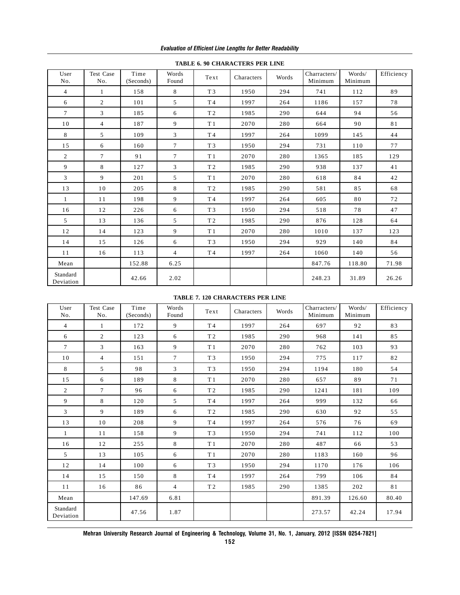|                       |                  |                   |                 |                | TABLE 0. 70 CHARACTERS I ER EINE |       |                         |                   |            |
|-----------------------|------------------|-------------------|-----------------|----------------|----------------------------------|-------|-------------------------|-------------------|------------|
| User<br>No.           | Test Case<br>No. | Time<br>(Seconds) | Words<br>Found  | Text           | Characters                       | Words | Charracters/<br>Minimum | Words/<br>Minimum | Efficiency |
| $\overline{4}$        | 1                | 158               | 8               | T <sub>3</sub> | 1950                             | 294   | 741                     | 112               | 89         |
| 6                     | $\overline{2}$   | 101               | 5               | T4             | 1997                             | 264   | 1186                    | 157               | 78         |
| $7\overline{ }$       | $\mathbf{3}$     | 185               | 6               | T <sub>2</sub> | 1985                             | 290   | 644                     | 94                | 56         |
| 10                    | $\overline{4}$   | 187               | 9               | T1             | 2070                             | 280   | 664                     | 90                | 81         |
| 8                     | 5                | 109               | 3               | T4             | 1997                             | 264   | 1099                    | 145               | 44         |
| 15                    | 6                | 160               | $7\overline{ }$ | T <sub>3</sub> | 1950                             | 294   | 731                     | 110               | 77         |
| $\overline{2}$        | $\tau$           | 91                | $7\overline{ }$ | T <sub>1</sub> | 2070                             | 280   | 1365                    | 185               | 129        |
| 9                     | 8                | 127               | 3               | T <sub>2</sub> | 1985                             | 290   | 938                     | 137               | 41         |
| $\mathfrak{Z}$        | 9                | 201               | 5               | T <sub>1</sub> | 2070                             | 280   | 618                     | 84                | 42         |
| 13                    | 10               | 205               | 8               | T <sub>2</sub> | 1985                             | 290   | 581                     | 85                | 68         |
| $\mathbf{1}$          | 11               | 198               | 9               | T4             | 1997                             | 264   | 605                     | 80                | 72         |
| 16                    | 12               | 226               | 6               | T <sub>3</sub> | 1950                             | 294   | 518                     | 78                | 47         |
| 5 <sup>5</sup>        | 13               | 136               | 5               | T <sub>2</sub> | 1985                             | 290   | 876                     | 128               | 64         |
| 12                    | 14               | 123               | 9               | T1             | 2070                             | 280   | 1010                    | 137               | 123        |
| 14                    | 15               | 126               | 6               | T <sub>3</sub> | 1950                             | 294   | 929                     | 140               | 84         |
| 11                    | 16               | 113               | $\overline{4}$  | T4             | 1997                             | 264   | 1060                    | 140               | 56         |
| Mean                  |                  | 152.88            | 6.25            |                |                                  |       | 847.76                  | 118.80            | 71.98      |
| Standard<br>Deviation |                  | 42.66             | 2.02            |                |                                  |       | 248.23                  | 31.89             | 26.26      |

#### **TABLE 6. 90 CHARACTERS PER LINE**

### **TABLE 7. 120 CHARACTERS PER LINE**

| User<br>No.           | Test Case<br>No. | Time<br>(Seconds) | Words<br>Found  | Text           | Characters | Words | Charracters/<br>Minimum | Words/<br>Minimum | Efficiency |
|-----------------------|------------------|-------------------|-----------------|----------------|------------|-------|-------------------------|-------------------|------------|
| $\overline{4}$        | $\mathbf{1}$     | 172               | 9               | T4             | 1997       | 264   | 697                     | 92                | 83         |
| 6                     | $\overline{2}$   | 123               | 6               | T <sub>2</sub> | 1985       | 290   | 968                     | 141               | 85         |
| $\tau$                | 3                | 163               | 9               | T <sub>1</sub> | 2070       | 280   | 762                     | 103               | 93         |
| 10                    | $\overline{4}$   | 151               | $7\overline{ }$ | T <sub>3</sub> | 1950       | 294   | 775                     | 117               | 82         |
| 8                     | 5                | 98                | 3               | T <sub>3</sub> | 1950       | 294   | 1194                    | 180               | 54         |
| 15                    | 6                | 189               | 8               | T <sub>1</sub> | 2070       | 280   | 657                     | 89                | 71         |
| $\overline{2}$        | $\tau$           | 96                | 6               | T <sub>2</sub> | 1985       | 290   | 1241                    | 181               | 109        |
| 9                     | 8                | 120               | 5               | T4             | 1997       | 264   | 999                     | 132               | 66         |
| $\mathfrak{Z}$        | 9                | 189               | 6               | T <sub>2</sub> | 1985       | 290   | 630                     | 92                | 55         |
| 13                    | 10               | 208               | 9               | T4             | 1997       | 264   | 576                     | 76                | 69         |
| $\mathbf{1}$          | 11               | 158               | 9               | T <sub>3</sub> | 1950       | 294   | 741                     | 112               | 100        |
| 16                    | 12               | 255               | 8               | T1             | 2070       | 280   | 487                     | 66                | 53         |
| 5                     | 13               | 105               | 6               | T <sub>1</sub> | 2070       | 280   | 1183                    | 160               | 96         |
| 12                    | 14               | 100               | 6               | T <sub>3</sub> | 1950       | 294   | 1170                    | 176               | 106        |
| 14                    | 15               | 150               | 8               | T4             | 1997       | 264   | 799                     | 106               | 84         |
| 11                    | 16               | 86                | $\overline{4}$  | T <sub>2</sub> | 1985       | 290   | 1385                    | 202               | 81         |
| Mean                  |                  | 147.69            | 6.81            |                |            |       | 891.39                  | 126.60            | 80.40      |
| Standard<br>Deviation |                  | 47.56             | 1.87            |                |            |       | 273.57                  | 42.24             | 17.94      |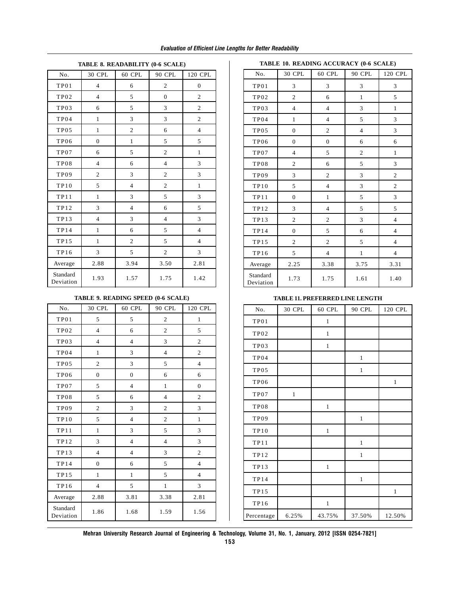### *Evaluation of Efficient Line Lengths for Better Readability*

| $\cdots$              |                         |                |                |                  |  |  |  |  |  |
|-----------------------|-------------------------|----------------|----------------|------------------|--|--|--|--|--|
| No.                   | 30 CPL                  | 60 CPL         | 90 CPL         | 120 CPL          |  |  |  |  |  |
| TP01                  | $\overline{\mathbf{4}}$ | 6              | $\sqrt{2}$     | $\boldsymbol{0}$ |  |  |  |  |  |
| TP02                  | $\overline{4}$          | 5              | $\overline{0}$ | $\overline{2}$   |  |  |  |  |  |
| TP03                  | 6                       | 5              | 3              | $\overline{c}$   |  |  |  |  |  |
| TP04                  | $\mathbf{1}$            | 3              | 3              | $\overline{c}$   |  |  |  |  |  |
| TP05                  | $\mathbf{1}$            | $\mathfrak{2}$ | 6              | $\overline{4}$   |  |  |  |  |  |
| TP <sub>06</sub>      | $\overline{0}$          | $\mathbf{1}$   | 5              | 5                |  |  |  |  |  |
| TP07                  | 6                       | 5              | $\overline{2}$ | $\mathbf{1}$     |  |  |  |  |  |
| <b>TP08</b>           | $\overline{4}$          | 6              | $\overline{4}$ | 3                |  |  |  |  |  |
| TP09                  | $\overline{2}$          | 3              | $\overline{2}$ | 3                |  |  |  |  |  |
| TP10                  | 5                       | $\overline{4}$ | $\sqrt{2}$     | $\mathbf{1}$     |  |  |  |  |  |
| TP11                  | $\mathbf{1}$            | 3              | 5              | 3                |  |  |  |  |  |
| <b>TP12</b>           | 3                       | $\overline{4}$ | 6              | 5                |  |  |  |  |  |
| <b>TP13</b>           | $\overline{4}$          | 3              | $\overline{4}$ | 3                |  |  |  |  |  |
| <b>TP14</b>           | $\mathbf{1}$            | 6              | 5              | $\overline{4}$   |  |  |  |  |  |
| <b>TP15</b>           | $\mathbf{1}$            | $\overline{c}$ | 5              | $\overline{4}$   |  |  |  |  |  |
| <b>TP16</b>           | 3                       | 5              | $\overline{2}$ | 3                |  |  |  |  |  |
| Average               | 2.88                    | 3.94           | 3.50           | 2.81             |  |  |  |  |  |
| Standard<br>Deviation | 1.93                    | 1.57           | 1.75           | 1.42             |  |  |  |  |  |

### **TABLE 8. READABILITY (0-6 SCALE)**

#### **TABLE 10. READING ACCURACY (0-6 SCALE)**

| No.                   | 30 CPL                  | 60 CPL         | 90 CPL         | 120 CPL                 |
|-----------------------|-------------------------|----------------|----------------|-------------------------|
| TP01                  | 3                       | 3              | 3              | 3                       |
| TP02                  | $\overline{c}$          | 6              | $\mathbf{1}$   | 5                       |
| TP03                  | $\overline{\mathbf{4}}$ | $\overline{4}$ | 3              | $\mathbf{1}$            |
| <b>TP04</b>           | $\mathbf{1}$            | $\overline{4}$ | 5              | 3                       |
| TP <sub>05</sub>      | $\overline{0}$          | $\overline{c}$ | $\overline{4}$ | 3                       |
| <b>TP06</b>           | $\overline{0}$          | $\overline{0}$ | 6              | 6                       |
| TP07                  | $\overline{4}$          | $\mathfrak s$  | $\overline{2}$ | $\mathbf{1}$            |
| <b>TP08</b>           | $\mathfrak{2}$          | 6              | 5              | 3                       |
| <b>TP09</b>           | 3                       | $\overline{c}$ | 3              | $\overline{c}$          |
| TP10                  | 5                       | $\overline{4}$ | 3              | $\overline{c}$          |
| <b>TP11</b>           | $\boldsymbol{0}$        | $\mathbf{1}$   | 5              | 3                       |
| <b>TP12</b>           | 3                       | $\overline{4}$ | 5              | 5                       |
| <b>TP13</b>           | $\overline{c}$          | $\overline{c}$ | 3              | $\overline{\mathbf{4}}$ |
| TP14                  | $\mathbf{0}$            | 5              | 6              | $\overline{4}$          |
| <b>TP15</b>           | $\overline{c}$          | $\overline{c}$ | 5              | $\overline{4}$          |
| TP16                  | 5                       | $\overline{4}$ | $\mathbf{1}$   | $\overline{4}$          |
| Average               | 2.25                    | 3.38           | 3.75           | 3.31                    |
| Standard<br>Deviation | 1.73                    | 1.75           | 1.61           | 1.40                    |

## **TABLE 11. PREFERRED LINE LENGTH**

| .                |  |             | TADLE II, I KEI EKKED EINE LEIN III |              |              |         |
|------------------|--|-------------|-------------------------------------|--------------|--------------|---------|
| 120 CPL          |  | No.         | 30 CPL                              | 60 CPL       | 90 CPL       | 120 CPL |
| $1\,$            |  | TP01        |                                     | $\mathbf{1}$ |              |         |
| 5                |  | TP02        |                                     | $\,1$        |              |         |
| $\sqrt{2}$       |  | TP03        |                                     | $\mathbf{1}$ |              |         |
| $\mathbf{2}$     |  | TP04        |                                     |              | $\mathbf{1}$ |         |
| $\overline{4}$   |  | TP05        |                                     |              | $\mathbf{1}$ |         |
| 6                |  |             |                                     |              |              |         |
| $\boldsymbol{0}$ |  | <b>TP06</b> |                                     |              |              | $\,1$   |
| $\sqrt{2}$       |  | TP07        | $\mathbf{1}$                        |              |              |         |
| $\mathfrak{Z}$   |  | <b>TP08</b> |                                     | $\mathbf{1}$ |              |         |
| $\mathbf{1}$     |  | TP09        |                                     |              | $\mathbf{1}$ |         |
| 3                |  | TP10        |                                     | $\mathbf{1}$ |              |         |
| $\mathfrak{Z}$   |  | TP11        |                                     |              | $\mathbf{1}$ |         |
| $\mathbf{2}$     |  | TP12        |                                     |              | $\mathbf{1}$ |         |
| $\overline{4}$   |  | <b>TP13</b> |                                     | $\,1\,$      |              |         |
| $\overline{4}$   |  | TP14        |                                     |              | $\mathbf{1}$ |         |
| $\mathfrak{Z}$   |  |             |                                     |              |              | $1\,$   |
| 2.81             |  | TP15        |                                     |              |              |         |
|                  |  | TP16        |                                     | $\mathbf{1}$ |              |         |
| 1.56             |  | Percentage  | 6.25%                               | 43.75%       | 37.50%       | 12.50%  |

#### **TABLE 9. READING SPEED (0-6 SCALE)**

| No.                   | 30 CPL           | 60 CPL         | 90 CPL         | 120 CPL                     |
|-----------------------|------------------|----------------|----------------|-----------------------------|
| TP01                  | 5                | 5              | $\overline{2}$ | $\mathbf{1}$                |
| <b>TP02</b>           | $\overline{4}$   | 6              | $\mathfrak{2}$ | 5                           |
| TP03                  | $\overline{4}$   | $\overline{4}$ | 3              | $\overline{c}$              |
| TP04                  | $\mathbf{1}$     | 3              | $\overline{4}$ | $\overline{c}$              |
| TP05                  | $\mathfrak{2}$   | $\overline{3}$ | 5              | $\overline{4}$              |
| <b>TP06</b>           | $\boldsymbol{0}$ | $\overline{0}$ | 6              | 6                           |
| TP07                  | 5                | $\overline{4}$ | $\mathbf{1}$   | $\mathbf{0}$                |
| <b>TP08</b>           | 5                | 6              | $\overline{4}$ | $\overline{2}$              |
| <b>TP09</b>           | $\overline{c}$   | 3              | $\overline{c}$ | 3                           |
| TP10                  | 5                | $\overline{4}$ | $\overline{2}$ | $\mathbf{1}$                |
| TP11                  | $\mathbf{1}$     | 3              | 5              | $\ensuremath{\mathfrak{Z}}$ |
| <b>TP12</b>           | 3                | $\overline{4}$ | $\overline{4}$ | 3                           |
| <b>TP13</b>           | $\overline{4}$   | $\overline{4}$ | 3              | $\overline{c}$              |
| <b>TP14</b>           | $\mathbf{0}$     | 6              | 5              | $\overline{4}$              |
| <b>TP15</b>           | $\mathbf{1}$     | $\mathbf{1}$   | 5              | $\overline{4}$              |
| TP16                  | $\overline{4}$   | 5              | $\mathbf{1}$   | 3                           |
| Average               | 2.88             | 3.81           | 3.38           | 2.81                        |
| Standard<br>Deviation | 1.86             | 1.68           | 1.59           | 1.56                        |